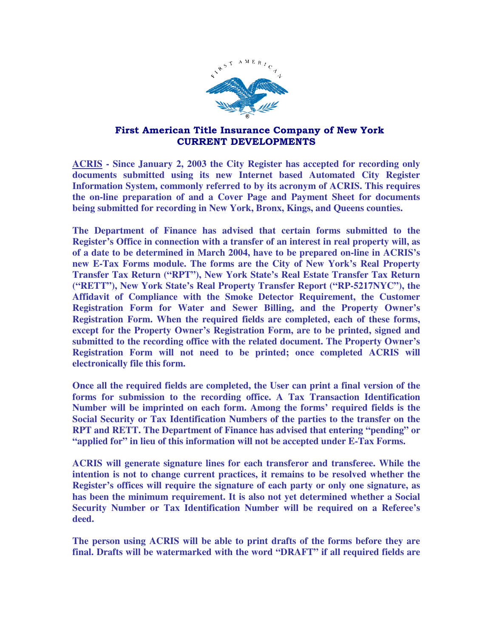

## First American Title Insurance Company of New York CURRENT DEVELOPMENTS

**ACRIS - Since January 2, 2003 the City Register has accepted for recording only documents submitted using its new Internet based Automated City Register Information System, commonly referred to by its acronym of ACRIS. This requires the on-line preparation of and a Cover Page and Payment Sheet for documents being submitted for recording in New York, Bronx, Kings, and Queens counties.** 

**The Department of Finance has advised that certain forms submitted to the Register's Office in connection with a transfer of an interest in real property will, as of a date to be determined in March 2004, have to be prepared on-line in ACRIS's new E-Tax Forms module. The forms are the City of New York's Real Property Transfer Tax Return ("RPT"), New York State's Real Estate Transfer Tax Return ("RETT"), New York State's Real Property Transfer Report ("RP-5217NYC"), the Affidavit of Compliance with the Smoke Detector Requirement, the Customer Registration Form for Water and Sewer Billing, and the Property Owner's Registration Form. When the required fields are completed, each of these forms, except for the Property Owner's Registration Form, are to be printed, signed and submitted to the recording office with the related document. The Property Owner's Registration Form will not need to be printed; once completed ACRIS will electronically file this form.** 

**Once all the required fields are completed, the User can print a final version of the forms for submission to the recording office. A Tax Transaction Identification Number will be imprinted on each form. Among the forms' required fields is the Social Security or Tax Identification Numbers of the parties to the transfer on the RPT and RETT. The Department of Finance has advised that entering "pending" or "applied for" in lieu of this information will not be accepted under E-Tax Forms.** 

**ACRIS will generate signature lines for each transferor and transferee. While the intention is not to change current practices, it remains to be resolved whether the Register's offices will require the signature of each party or only one signature, as has been the minimum requirement. It is also not yet determined whether a Social Security Number or Tax Identification Number will be required on a Referee's deed.** 

**The person using ACRIS will be able to print drafts of the forms before they are final. Drafts will be watermarked with the word "DRAFT" if all required fields are**